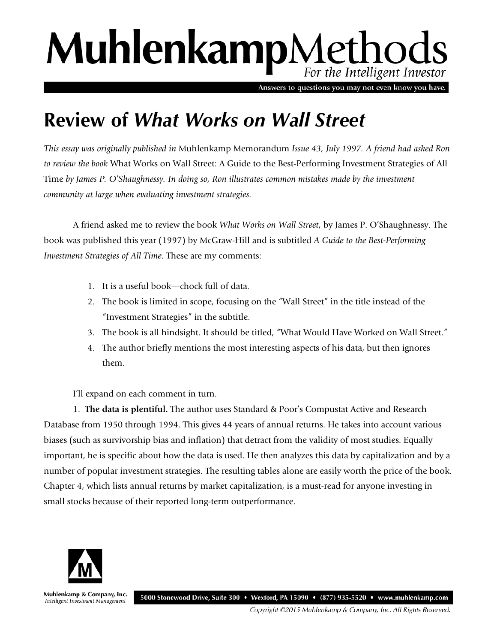## MuhlenkampMethods For the Intelligent Investor

Answers to questions you may not even know you have.

## **Review of** *What Works on Wall Street*

*This essay was originally published in* Muhlenkamp Memorandum *Issue 43, July 1997. A friend had asked Ron to review the book* What Works on Wall Street: A Guide to the Best-Performing Investment Strategies of All Time *by James P. O'Shaughnessy. In doing so, Ron illustrates common mistakes made by the investment community at large when evaluating investment strategies.* 

A friend asked me to review the book *What Works on Wall Street*, by James P. O'Shaughnessy. The book was published this year (1997) by McGraw-Hill and is subtitled *A Guide to the Best-Performing Investment Strategies of All Time*. These are my comments:

- 1. It is a useful book—chock full of data.
- 2. The book is limited in scope, focusing on the "Wall Street" in the title instead of the "Investment Strategies" in the subtitle.
- 3. The book is all hindsight. It should be titled, "What Would Have Worked on Wall Street."
- 4. The author briefly mentions the most interesting aspects of his data, but then ignores them.

I'll expand on each comment in turn.

1. **The data is plentiful.** The author uses Standard & Poor's Compustat Active and Research Database from 1950 through 1994. This gives 44 years of annual returns. He takes into account various biases (such as survivorship bias and inflation) that detract from the validity of most studies. Equally important, he is specific about how the data is used. He then analyzes this data by capitalization and by a number of popular investment strategies. The resulting tables alone are easily worth the price of the book. Chapter 4, which lists annual returns by market capitalization, is a must-read for anyone investing in small stocks because of their reported long-term outperformance.



Muhlenkamp & Company, Inc. 5000 Stonewood Drive, Suite 300 • Wexford, PA 15090 • (877) 935-5520 • www.muhlenkamp.com Intelligent Investment Management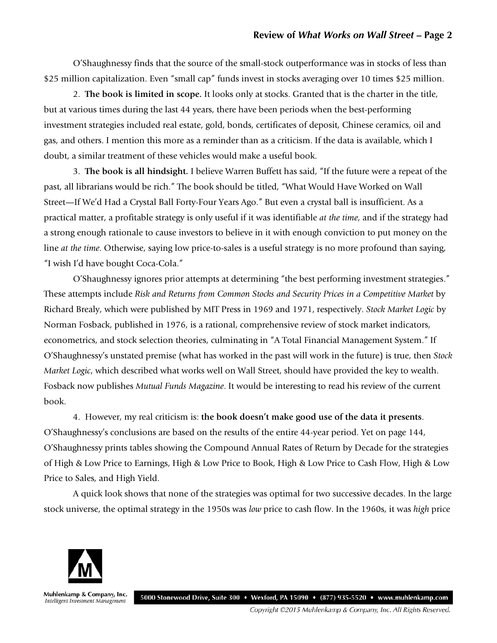O'Shaughnessy finds that the source of the small-stock outperformance was in stocks of less than \$25 million capitalization. Even "small cap" funds invest in stocks averaging over 10 times \$25 million.

2. **The book is limited in scope.** It looks only at stocks. Granted that is the charter in the title, but at various times during the last 44 years, there have been periods when the best-performing investment strategies included real estate, gold, bonds, certificates of deposit, Chinese ceramics, oil and gas, and others. I mention this more as a reminder than as a criticism. If the data is available, which I doubt, a similar treatment of these vehicles would make a useful book.

3. **The book is all hindsight.** I believe Warren Buffett has said, "If the future were a repeat of the past, all librarians would be rich." The book should be titled, "What Would Have Worked on Wall Street—If We'd Had a Crystal Ball Forty-Four Years Ago." But even a crystal ball is insufficient. As a practical matter, a profitable strategy is only useful if it was identifiable *at the time*, and if the strategy had a strong enough rationale to cause investors to believe in it with enough conviction to put money on the line *at the time*. Otherwise, saying low price-to-sales is a useful strategy is no more profound than saying, "I wish I'd have bought Coca-Cola."

O'Shaughnessy ignores prior attempts at determining "the best performing investment strategies." These attempts include *Risk and Returns from Common Stocks and Security Prices in a Competitive Market* by Richard Brealy, which were published by MIT Press in 1969 and 1971, respectively. *Stock Market Logic* by Norman Fosback, published in 1976, is a rational, comprehensive review of stock market indicators, econometrics, and stock selection theories, culminating in "A Total Financial Management System." If O'Shaughnessy's unstated premise (what has worked in the past will work in the future) is true, then *Stock Market Logic*, which described what works well on Wall Street, should have provided the key to wealth. Fosback now publishes *Mutual Funds Magazine*. It would be interesting to read his review of the current book.

4. However, my real criticism is: **the book doesn't make good use of the data it presents**. O'Shaughnessy's conclusions are based on the results of the entire 44-year period. Yet on page 144, O'Shaughnessy prints tables showing the Compound Annual Rates of Return by Decade for the strategies of High & Low Price to Earnings, High & Low Price to Book, High & Low Price to Cash Flow, High & Low Price to Sales, and High Yield.

A quick look shows that none of the strategies was optimal for two successive decades. In the large stock universe, the optimal strategy in the 1950s was *low* price to cash flow. In the 1960s, it was *high* price



Muhlenkamp & Company, Inc. 5000 Stonewood Drive, Suite 300 • Wexford, PA 15090 • (877) 935-5520 • www.muhlenkamp.com Intelligent Investment Management

Copyright ©2015 Muhlenkamp & Company, Inc. All Rights Reserved.